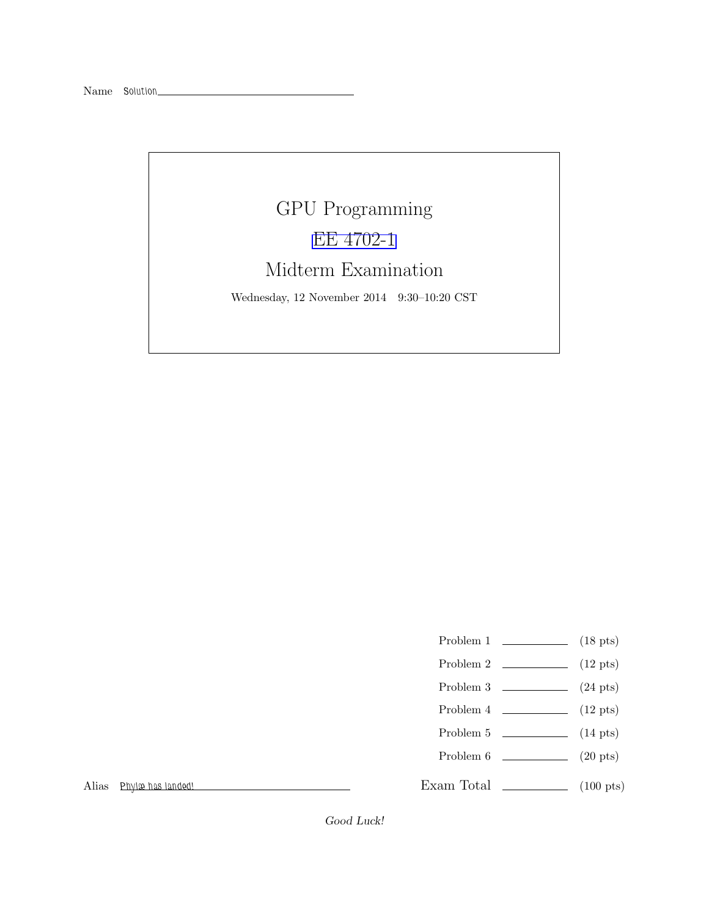## GPU Programming [EE 4702-1](http://www.ece.lsu.edu/koppel/gpup/) Midterm Examination

Wednesday, 12 November 2014 9:30–10:20 CST

- Problem 1  $\qquad \qquad$  (18 pts)
- Problem 2  $\qquad \qquad$  (12 pts)
- Problem 3  $\qquad \qquad$  (24 pts)
- Problem 4  $\sim$  (12 pts)
- Problem 5  $\qquad \qquad$  (14 pts)
- Problem 6 (20 pts)
- Exam Total  $\qquad \qquad$  (100 pts)

Alias Phylæ has landed!

Good Luck!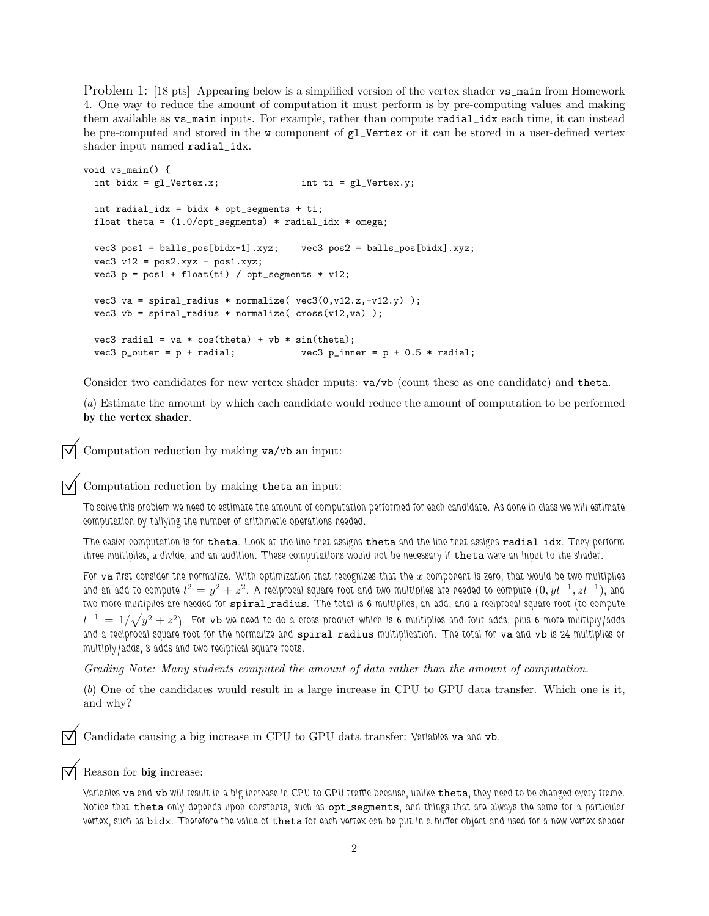Problem 1: [18 pts] Appearing below is a simplified version of the vertex shader vs\_main from Homework 4. One way to reduce the amount of computation it must perform is by pre-computing values and making them available as vs\_main inputs. For example, rather than compute radial\_idx each time, it can instead be pre-computed and stored in the w component of gl\_Vertex or it can be stored in a user-defined vertex shader input named radial\_idx.

```
void vs_main() {
  int bidx = gl\_Vertex.x; int ti = gl\_Vertex.y;
 int radial_idx = bidx * opt_segments + ti;
 float theta = (1.0/\text{opt\_segments}) * \text{radial\_idx} * \text{omega};vec3 pos1 = balls_pos[bidx-1].xyz; vec3 pos2 = balls_pos[bidx].xyz;
 vec3 v12 = pos2.xyz - pos1.xyz;
 vec3 p = pos1 + float(ti) / opt_segments * v12;
 vec3 va = spiral_radius * normalize(vec3(0, v12.z, -v12.y));
 vec3 vb = spiral_radius * normalize( cross(v12, va) );
 vec3 radial = va * cos(theta) + vb * sin(theta);
 vec3 p_outer = p + radial; vec3 p_inner = p + 0.5 * radial;
```
Consider two candidates for new vertex shader inputs: va/vb (count these as one candidate) and theta.

(a) Estimate the amount by which each candidate would reduce the amount of computation to be performed by the vertex shader.

Computation reduction by making va/vb an input:

 $\nabla$  Computation reduction by making the ta an input:

To solve this problem we need to estimate the amount of computation performed for each candidate. As done in class we will estimate computation by tallying the number of arithmetic operations needed.

The easier computation is for theta. Look at the line that assigns theta and the line that assigns radial idx. They perform three multiplies, a divide, and an addition. These computations would not be necessary if theta were an input to the shader.

For va first consider the normalize. With optimization that recognizes that the  $x$  component is zero, that would be two multiplies and an add to compute  $l^2=y^2+z^2$ . A reciprocal square root and two multiplies are needed to compute  $(0,yl^{-1},zl^{-1})$ , and two more multiplies are needed for spiral radius. The total is 6 multiplies, an add, and a reciprocal square root (to compute  $l^{-1}\,=\,1/\sqrt{y^2+z^2})$ . For  $\tt v b$  we need to do a cross product which is 6 multiplies and four adds, plus 6 more multiply/adds and a reciprocal square root for the normalize and spiral radius multiplication. The total for va and vb is 24 multiplies or multiply/adds, 3 adds and two reciprical square roots.

Grading Note: Many students computed the amount of data rather than the amount of computation.

(b) One of the candidates would result in a large increase in CPU to GPU data transfer. Which one is it, and why?

Candidate causing a big increase in CPU to GPU data transfer: Variables va and vb.

Reason for big increase:

Variables va and vb will result in a big increase in CPU to GPU traffic because, unlike theta, they need to be changed every frame. Notice that theta only depends upon constants, such as opt\_segments, and things that are always the same for a particular vertex, such as bidx. Therefore the value of theta for each vertex can be put in a buffer object and used for a new vertex shader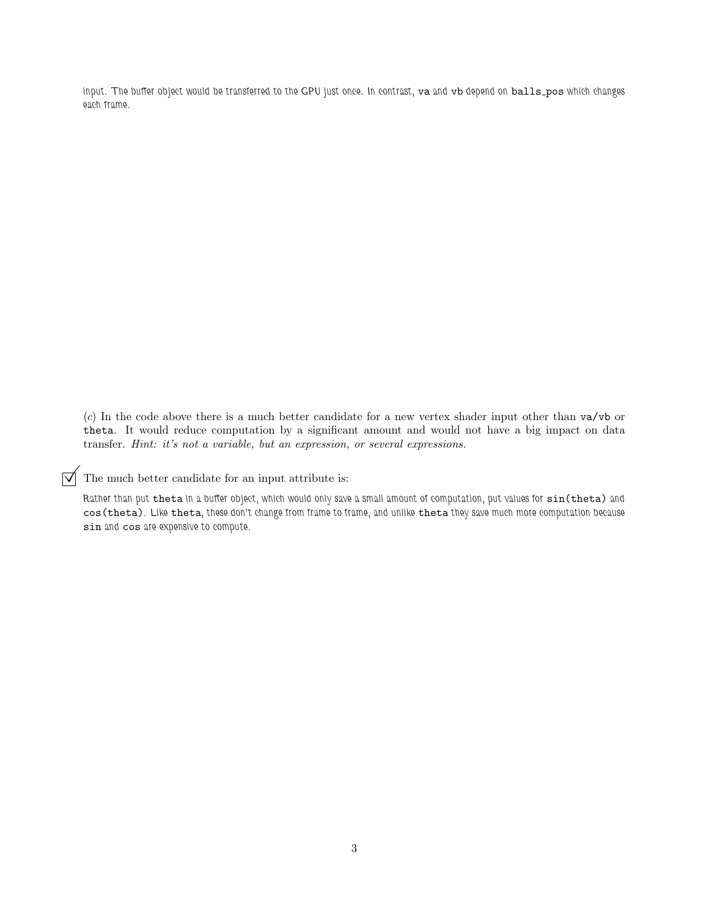input. The buffer object would be transferred to the GPU just once. In contrast, va and vb depend on balls\_pos which changes each frame.

(c) In the code above there is a much better candidate for a new vertex shader input other than va/vb or theta. It would reduce computation by a significant amount and would not have a big impact on data transfer. Hint: it's not a variable, but an expression, or several expressions.

 $\triangledown$  The much better candidate for an input attribute is:

Rather than put theta in a buffer object, which would only save a small amount of computation, put values for sin(theta) and cos(theta). Like theta, these don't change from frame to frame, and unlike theta they save much more computation because sin and cos are expensive to compute.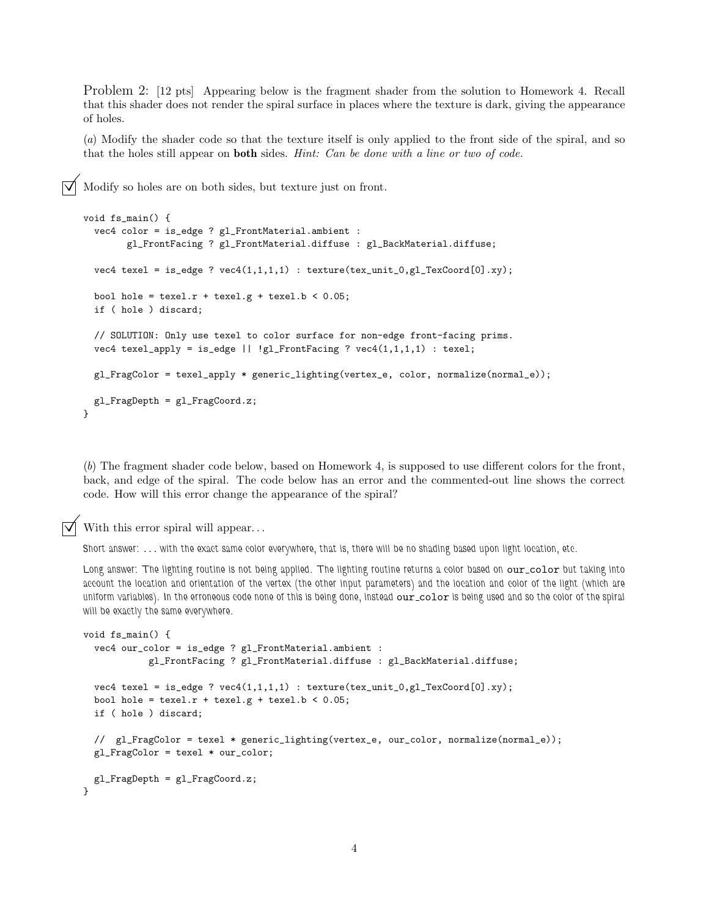Problem 2: [12 pts] Appearing below is the fragment shader from the solution to Homework 4. Recall that this shader does not render the spiral surface in places where the texture is dark, giving the appearance of holes.

(a) Modify the shader code so that the texture itself is only applied to the front side of the spiral, and so that the holes still appear on **both** sides. *Hint: Can be done with a line or two of code.* 

Modify so holes are on both sides, but texture just on front.

```
void fs_main() {
 vec4 color = is_edge ? gl_FrontMaterial.ambient :
        gl_FrontFacing ? gl_FrontMaterial.diffuse : gl_BackMaterial.diffuse;
 vec4 texel = is_edge ? vec(1,1,1,1) : texture(tex_unit_0,gl_TexCoord[0].xy);
 bool hole = text.r + \text{text}.g + \text{text}.b < 0.05;
 if ( hole ) discard;
  // SOLUTION: Only use texel to color surface for non-edge front-facing prims.
 vec4 texel_apply = is_edge || !gl_FrontFacing ? vec4(1,1,1,1) : texel;
 gl_FragColor = texel_apply * generic_lighting(vertex_e, color, normalize(normal_e));
 gl_FragDepth = gl_FragCoord.z;
}
```
(b) The fragment shader code below, based on Homework 4, is supposed to use different colors for the front, back, and edge of the spiral. The code below has an error and the commented-out line shows the correct code. How will this error change the appearance of the spiral?

With this error spiral will appear...

Short answer: . . . with the exact same color everywhere, that is, there will be no shading based upon light location, etc.

Long answer: The lighting routine is not being applied. The lighting routine returns a color based on our\_color but taking into account the location and orientation of the vertex (the other input parameters) and the location and color of the light (which are uniform variables). In the erroneous code none of this is being done, instead our\_color is being used and so the color of the spiral will be exactly the same everywhere.

```
void fs_main() {
 vec4 our_color = is_edge ? gl_FrontMaterial.ambient :
            gl_FrontFacing ? gl_FrontMaterial.diffuse : gl_BackMaterial.diffuse;
 vec4 texel = is_edge ? vec4(1,1,1,1) : texture(tex_unit_0,gl_TexCoord[0].xy);
 bool hole = text.r + \text{text}.g + \text{text}.b < 0.05;
 if ( hole ) discard;
 // gl_FragColor = texel * generic_lighting(vertex_e, our_color, normalize(normal_e));
 gl_FragColor = texel * our_color;
 gl_FragDepth = gl_FragCoord.z;
}
```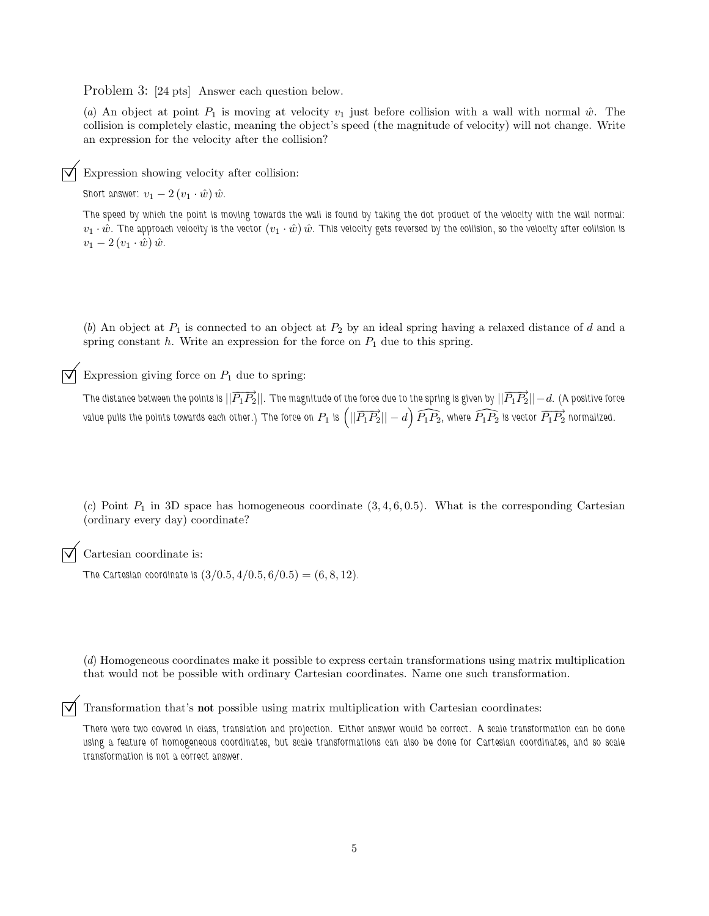Problem 3: [24 pts] Answer each question below.

(a) An object at point  $P_1$  is moving at velocity  $v_1$  just before collision with a wall with normal  $\hat{w}$ . The collision is completely elastic, meaning the object's speed (the magnitude of velocity) will not change. Write an expression for the velocity after the collision?

Expression showing velocity after collision:

Short answer:  $v_1 - 2 (v_1 \cdot \hat{w}) \hat{w}$ .

The speed by which the point is moving towards the wall is found by taking the dot product of the velocity with the wall normal:  $v_1 \cdot \hat{w}$ . The approach velocity is the vector  $(v_1 \cdot \hat{w}) \hat{w}$ . This velocity gets reversed by the collision, so the velocity after collision is  $v_1 - 2 (v_1 \cdot \hat{w}) \hat{w}.$ 

(b) An object at  $P_1$  is connected to an object at  $P_2$  by an ideal spring having a relaxed distance of d and a spring constant  $h$ . Write an expression for the force on  $P_1$  due to this spring.

Expression giving force on  $P_1$  due to spring:

The distance between the points is  $||\overrightarrow{P_1P_2}||$ . The magnitude of the force due to the spring is given by  $||\overrightarrow{P_1P_2}||-d$ . (A positive force value pulls the points towards each other.) The force on  $P_1$  is  $\left(||\overrightarrow{P_1P_2}||-d\right)\widehat{P_1P_2}$ , where  $\widehat{P_1P_2}$  is vector  $\overrightarrow{P_1P_2}$  normalized.

(c) Point  $P_1$  in 3D space has homogeneous coordinate  $(3, 4, 6, 0.5)$ . What is the corresponding Cartesian (ordinary every day) coordinate?

Cartesian coordinate is:

The Cartesian coordinate is  $(3/0.5, 4/0.5, 6/0.5) = (6, 8, 12)$ .

(d) Homogeneous coordinates make it possible to express certain transformations using matrix multiplication that would not be possible with ordinary Cartesian coordinates. Name one such transformation.

Transformation that's not possible using matrix multiplication with Cartesian coordinates:

There were two covered in class, translation and projection. Either answer would be correct. A scale transformation can be done using a feature of homogeneous coordinates, but scale transformations can also be done for Cartesian coordinates, and so scale transformation is not a correct answer.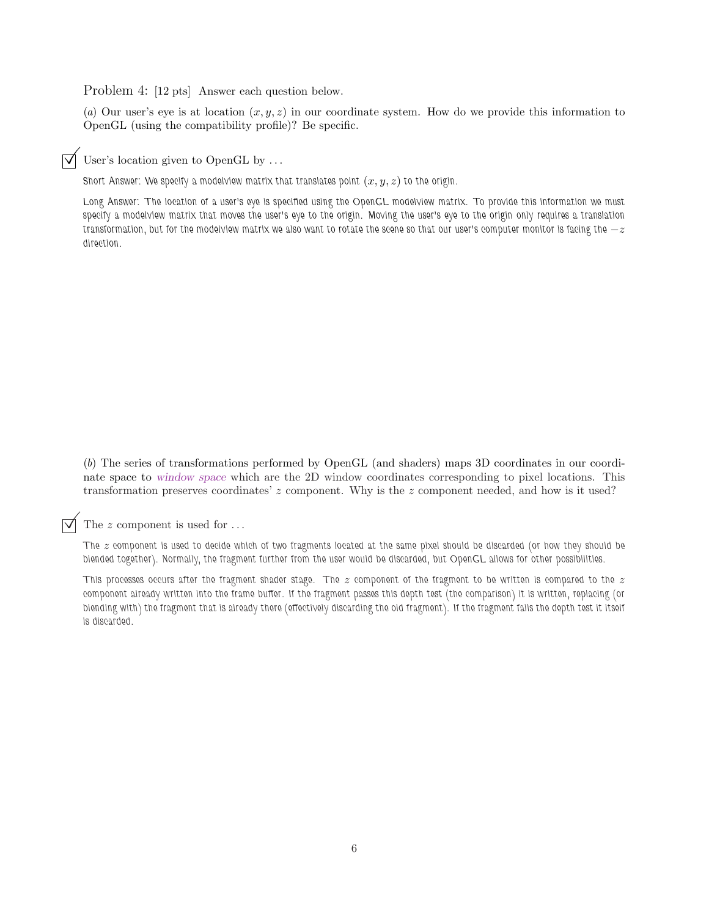Problem 4: [12 pts] Answer each question below.

(a) Our user's eye is at location  $(x, y, z)$  in our coordinate system. How do we provide this information to OpenGL (using the compatibility profile)? Be specific.

User's location given to OpenGL by ...

Short Answer: We specify a modelview matrix that translates point  $(x, y, z)$  to the origin.

Long Answer: The location of a user's eye is specified using the OpenGL modelview matrix. To provide this information we must specify a modelview matrix that moves the user's eye to the origin. Moving the user's eye to the origin only requires a translation transformation, but for the modelview matrix we also want to rotate the scene so that our user's computer monitor is facing the  $-z$ direction.

(b) The series of transformations performed by OpenGL (and shaders) maps 3D coordinates in our coordinate space to window space which are the 2D window coordinates corresponding to pixel locations. This transformation preserves coordinates' z component. Why is the z component needed, and how is it used?

The z component is used for ...

The  $z$  component is used to decide which of two fragments located at the same pixel should be discarded (or how they should be blended together). Normally, the fragment further from the user would be discarded, but OpenGL allows for other possibilities.

This processes occurs after the fragment shader stage. The  $z$  component of the fragment to be written is compared to the  $z$ component already written into the frame buffer. If the fragment passes this depth test (the comparison) it is written, replacing (or blending with) the fragment that is already there (effectively discarding the old fragment). If the fragment fails the depth test it itself is discarded.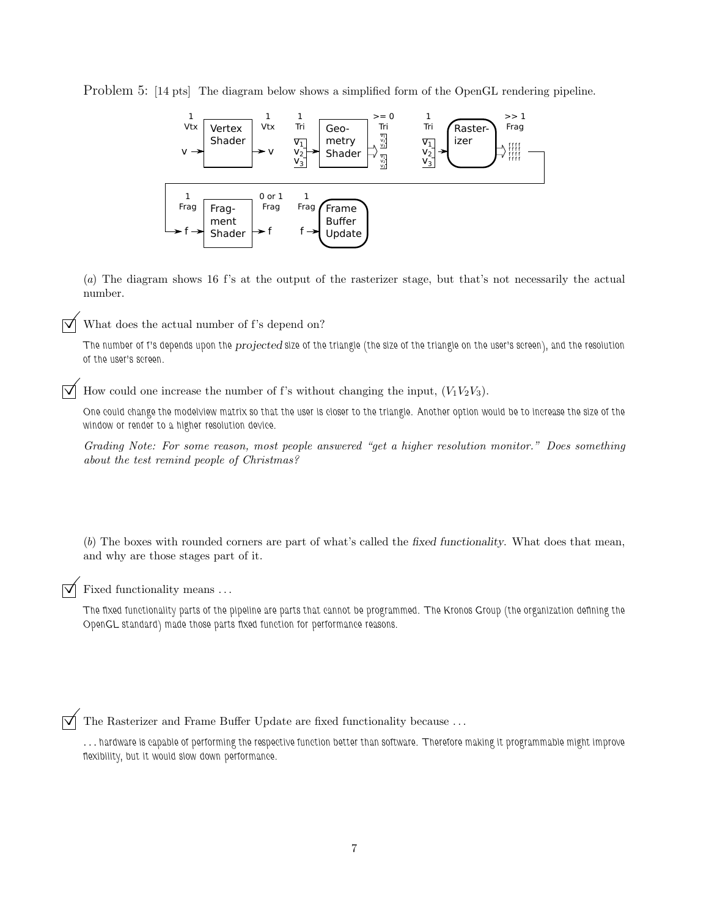Problem 5: [14 pts] The diagram below shows a simplified form of the OpenGL rendering pipeline.



(a) The diagram shows 16 f's at the output of the rasterizer stage, but that's not necessarily the actual number.

What does the actual number of f's depend on?

The number of f's depends upon the *projected* size of the triangle (the size of the triangle on the user's screen), and the resolution of the user's screen.

 $\triangledown$  How could one increase the number of f's without changing the input,  $(V_1V_2V_3)$ .

One could change the modelview matrix so that the user is closer to the triangle. Another option would be to increase the size of the window or render to a higher resolution device.

Grading Note: For some reason, most people answered "get a higher resolution monitor." Does something about the test remind people of Christmas?

(b) The boxes with rounded corners are part of what's called the fixed functionality. What does that mean, and why are those stages part of it.

Fixed functionality means . . .

The fixed functionality parts of the pipeline are parts that cannot be programmed. The Kronos Group (the organization defining the OpenGL standard) made those parts fixed function for performance reasons.

 $\overrightarrow{\mathsf{M}}$  The Rasterizer and Frame Buffer Update are fixed functionality because ...

. . . hardware is capable of performing the respective function better than software. Therefore making it programmable might improve flexibility, but it would slow down performance.